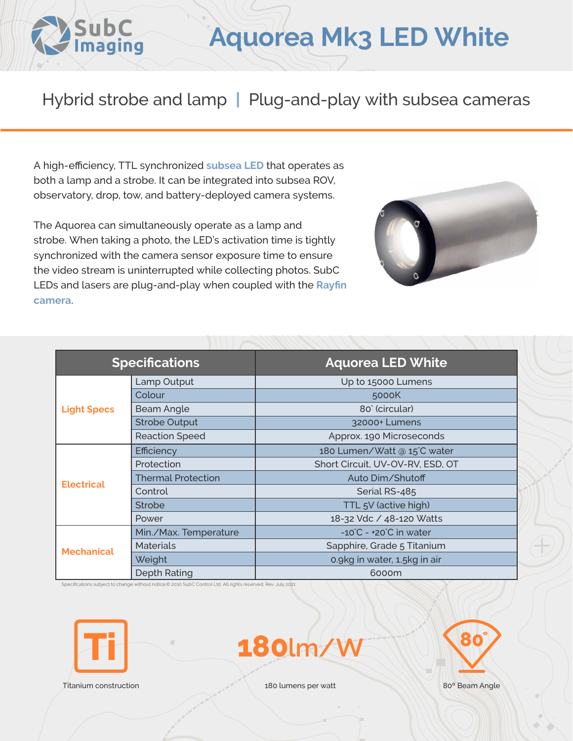

## **Aquorea Mk3 LED White**

## Hybrid strobe and lamp **|** Plug-and-play with subsea cameras

A high-efficiency, TTL synchronized **[subsea LED](https://www.subcimaging.com/aquorea-led-white)** that operates as both a lamp and a strobe. It can be integrated into subsea ROV, observatory, drop, tow, and battery-deployed camera systems.

The Aquorea can simultaneously operate as a lamp and strobe. When taking a photo, the LED's activation time is tightly synchronized with the camera sensor exposure time to ensure the video stream is uninterrupted while collecting photos. SubC LEDs and lasers are plug-and-play when coupled with the **[Rayfin](https://www.subcimaging.com/cameras)  [camera](https://www.subcimaging.com/cameras)**.



| <b>Specifications</b> |                           | <b>Aquorea LED White</b>                    |
|-----------------------|---------------------------|---------------------------------------------|
| <b>Light Specs</b>    | Lamp Output               | Up to 15000 Lumens                          |
|                       | Colour                    | 5000K                                       |
|                       | <b>Beam Angle</b>         | 80° (circular)                              |
|                       | <b>Strobe Output</b>      | 32000+ Lumens                               |
|                       | <b>Reaction Speed</b>     | Approx. 190 Microseconds                    |
| <b>Electrical</b>     | <b>Efficiency</b>         | 180 Lumen/Watt @ 15°C water                 |
|                       | Protection                | Short Circuit, UV-OV-RV, ESD, OT            |
|                       | <b>Thermal Protection</b> | Auto Dim/Shutoff                            |
|                       | Control                   | Serial RS-485                               |
|                       | <b>Strobe</b>             | TTL 5V (active high)                        |
|                       | Power                     | 18-32 Vdc / 48-120 Watts                    |
| <b>Mechanical</b>     | Min./Max. Temperature     | $-10^{\circ}$ C - +20 $^{\circ}$ C in water |
|                       | <b>Materials</b>          | Sapphire, Grade 5 Titanium                  |
|                       | Weight                    | 0.9kg in water, 1.5kg in air                |
|                       | <b>Depth Rating</b>       | 6000m                                       |

Specifications subject to change without notice.© 2010 SubC Control Ltd. All rights reserved. Rev. July 2021



**180lm/W**



Titanium construction 180 lumens per watt 80<sup>°</sup> Beam Angle